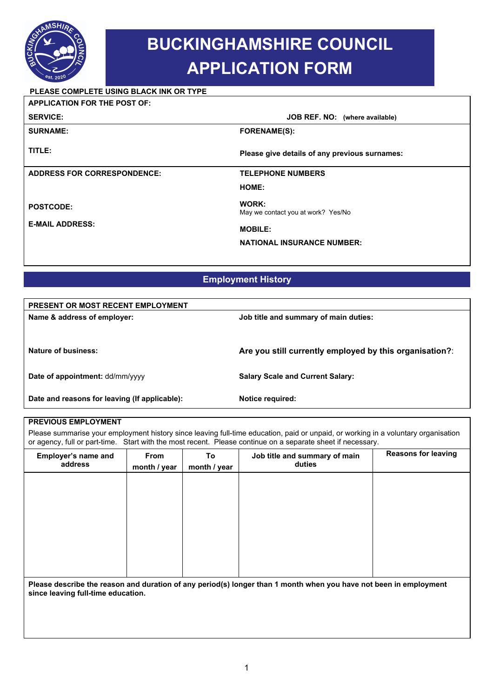

# **BUCKINGHAMSHIRE COUNCIL APPLICATION FORM**

### **PLEASE COMPLETE USING BLACK INK OR TYPE**

| <b>APPLICATION FOR THE POST OF:</b> |                                               |  |
|-------------------------------------|-----------------------------------------------|--|
| <b>SERVICE:</b>                     | JOB REF. NO: (where available)                |  |
| <b>SURNAME:</b>                     | <b>FORENAME(S):</b>                           |  |
| TITLE:                              | Please give details of any previous surnames: |  |
| <b>ADDRESS FOR CORRESPONDENCE:</b>  | <b>TELEPHONE NUMBERS</b>                      |  |
|                                     | HOME:                                         |  |
| <b>POSTCODE:</b>                    | WORK:<br>May we contact you at work? Yes/No   |  |
| <b>E-MAIL ADDRESS:</b>              | <b>MOBILE:</b>                                |  |
|                                     | <b>NATIONAL INSURANCE NUMBER:</b>             |  |

# **Employment History**

| <b>PRESENT OR MOST RECENT EMPLOYMENT</b>      |                                                         |
|-----------------------------------------------|---------------------------------------------------------|
| Name & address of employer:                   | Job title and summary of main duties:                   |
|                                               |                                                         |
|                                               |                                                         |
| Nature of business:                           | Are you still currently employed by this organisation?: |
|                                               |                                                         |
| Date of appointment: dd/mm/yyyy               | <b>Salary Scale and Current Salary:</b>                 |
|                                               |                                                         |
| Date and reasons for leaving (If applicable): | Notice required:                                        |
|                                               |                                                         |

#### **PREVIOUS EMPLOYMENT**

Please summarise your employment history since leaving full-time education, paid or unpaid, or working in a voluntary organisation or agency, full or part-time. Start with the most recent. Please continue on a separate sheet if necessary.

| Employer's name and<br>address | From<br>month / year | To<br>month / year | Job title and summary of main<br>duties                                                                           | <b>Reasons for leaving</b> |
|--------------------------------|----------------------|--------------------|-------------------------------------------------------------------------------------------------------------------|----------------------------|
|                                |                      |                    |                                                                                                                   |                            |
|                                |                      |                    |                                                                                                                   |                            |
|                                |                      |                    |                                                                                                                   |                            |
|                                |                      |                    |                                                                                                                   |                            |
|                                |                      |                    |                                                                                                                   |                            |
|                                |                      |                    |                                                                                                                   |                            |
|                                |                      |                    |                                                                                                                   |                            |
|                                |                      |                    |                                                                                                                   |                            |
|                                |                      |                    |                                                                                                                   |                            |
|                                |                      |                    | Please describe the reason and duration of any period(s) longer than 1 month when you have not been in employment |                            |

**Please describe the reason and duration of any period(s) longer than 1 month when you have not been in employment since leaving full-time education.**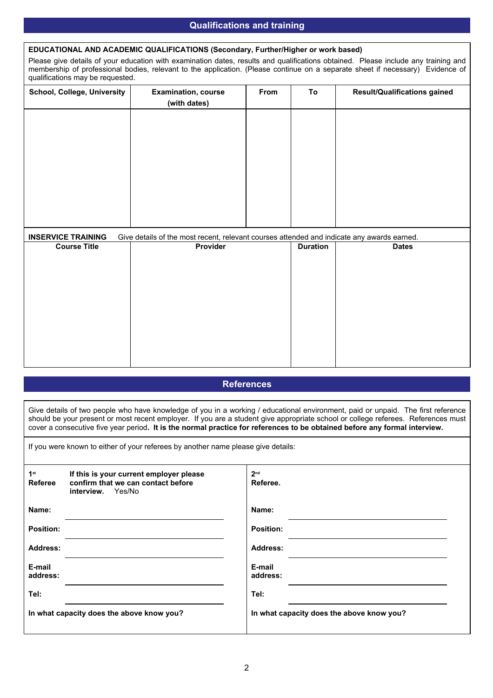#### **Qualifications and training**

#### **EDUCATIONAL AND ACADEMIC QUALIFICATIONS (Secondary, Further/Higher or work based)**

Please give details of your education with examination dates, results and qualifications obtained. Please include any training and membership of professional bodies, relevant to the application. (Please continue on a separate sheet if necessary) Evidence of qualifications may be requested.

| School, College, University | <b>Examination, course</b><br>(with dates)                                                 | From | To              | <b>Result/Qualifications gained</b> |
|-----------------------------|--------------------------------------------------------------------------------------------|------|-----------------|-------------------------------------|
|                             |                                                                                            |      |                 |                                     |
|                             |                                                                                            |      |                 |                                     |
|                             |                                                                                            |      |                 |                                     |
|                             |                                                                                            |      |                 |                                     |
|                             |                                                                                            |      |                 |                                     |
|                             |                                                                                            |      |                 |                                     |
| <b>INSERVICE TRAINING</b>   | Give details of the most recent, relevant courses attended and indicate any awards earned. |      |                 |                                     |
| <b>Course Title</b>         | Provider                                                                                   |      | <b>Duration</b> | <b>Dates</b>                        |
|                             |                                                                                            |      |                 |                                     |
|                             |                                                                                            |      |                 |                                     |
|                             |                                                                                            |      |                 |                                     |
|                             |                                                                                            |      |                 |                                     |
|                             |                                                                                            |      |                 |                                     |

#### **References**

Give details of two people who have knowledge of you in a working / educational environment, paid or unpaid. The first reference should be your present or most recent employer. If you are a student give appropriate school or college referees. References must cover a consecutive five year period**. It is the normal practice for references to be obtained before any formal interview.** 

If you were known to either of your referees by another name please give details:

| 1 <sup>st</sup><br>Referee | If this is your current employer please<br>confirm that we can contact before<br>interview. Yes/No | 2 <sub>nd</sub><br>Referee.               |
|----------------------------|----------------------------------------------------------------------------------------------------|-------------------------------------------|
| Name:                      |                                                                                                    | Name:                                     |
| <b>Position:</b>           |                                                                                                    | <b>Position:</b>                          |
| <b>Address:</b>            |                                                                                                    | <b>Address:</b>                           |
| E-mail<br>address:         |                                                                                                    | E-mail<br>address:                        |
| Tel:                       |                                                                                                    | Tel:                                      |
|                            | In what capacity does the above know you?                                                          | In what capacity does the above know you? |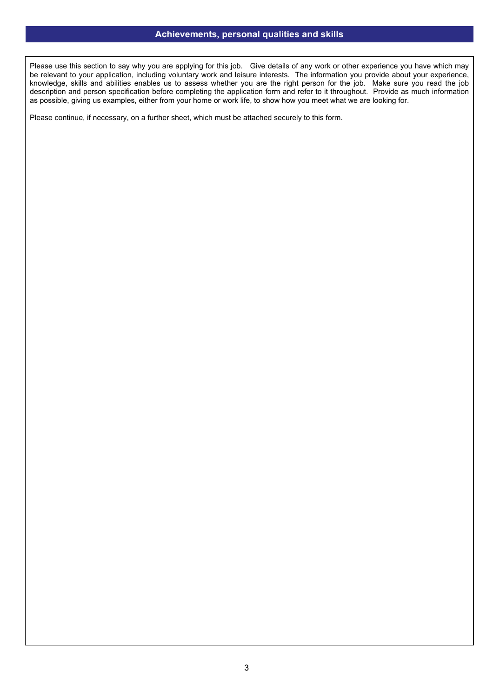#### **Achievements, personal qualities and skills**

Please use this section to say why you are applying for this job. Give details of any work or other experience you have which may be relevant to your application, including voluntary work and leisure interests. The information you provide about your experience, knowledge, skills and abilities enables us to assess whether you are the right person for the job. Make sure you read the job description and person specification before completing the application form and refer to it throughout. Provide as much information as possible, giving us examples, either from your home or work life, to show how you meet what we are looking for.

Please continue, if necessary, on a further sheet, which must be attached securely to this form.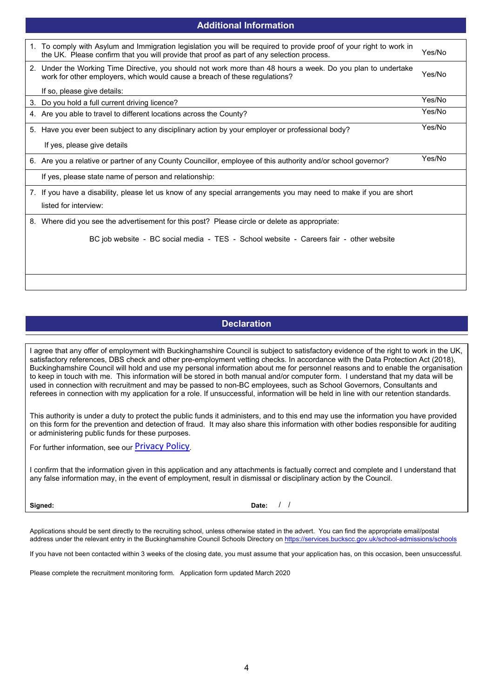| 1. To comply with Asylum and Immigration legislation you will be required to provide proof of your right to work in<br>the UK. Please confirm that you will provide that proof as part of any selection process. | Yes/No |
|------------------------------------------------------------------------------------------------------------------------------------------------------------------------------------------------------------------|--------|
| 2. Under the Working Time Directive, you should not work more than 48 hours a week. Do you plan to undertake<br>work for other employers, which would cause a breach of these regulations?                       | Yes/No |
| If so, please give details:                                                                                                                                                                                      |        |
| 3. Do you hold a full current driving licence?                                                                                                                                                                   | Yes/No |
| 4. Are you able to travel to different locations across the County?                                                                                                                                              | Yes/No |
| 5. Have you ever been subject to any disciplinary action by your employer or professional body?                                                                                                                  | Yes/No |
| If yes, please give details                                                                                                                                                                                      |        |
| 6. Are you a relative or partner of any County Councillor, employee of this authority and/or school governor?                                                                                                    | Yes/No |
| If yes, please state name of person and relationship:                                                                                                                                                            |        |
| 7. If you have a disability, please let us know of any special arrangements you may need to make if you are short<br>listed for interview:                                                                       |        |
| 8. Where did you see the advertisement for this post? Please circle or delete as appropriate:                                                                                                                    |        |
| BC job website - BC social media - TES - School website - Careers fair - other website                                                                                                                           |        |
|                                                                                                                                                                                                                  |        |
|                                                                                                                                                                                                                  |        |
|                                                                                                                                                                                                                  |        |

**Additional Information**

# **Declaration**

I agree that any offer of employment with Buckinghamshire Council is subject to satisfactory evidence of the right to work in the UK, satisfactory references, DBS check and other pre-employment vetting checks. In accordance with the Data Protection Act (2018), Buckinghamshire Council will hold and use my personal information about me for personnel reasons and to enable the organisation to keep in touch with me. This information will be stored in both manual and/or computer form. I understand that my data will be used in connection with recruitment and may be passed to non-BC employees, such as School Governors, Consultants and referees in connection with my application for a role. If unsuccessful, information will be held in line with our retention standards.

This authority is under a duty to protect the public funds it administers, and to this end may use the information you have provided on this form for the prevention and detection of fraud. It may also share this information with other bodies responsible for auditing or administering public funds for these purposes.

For further information, see our Privacy Policy.

I confirm that the information given in this application and any attachments is factually correct and complete and I understand that any false information may, in the event of employment, result in dismissal or disciplinary action by the Council.

**Signed: Date:**  / /

Applications should be sent directly to the recruiting school, unless otherwise stated in the advert. You can find the appropriate email/postal address under the relevant entry in the Buckinghamshire Council Schools Directory on https://services.buckscc.gov.uk/school-admissions/schools

If you have not been contacted within 3 weeks of the closing date, you must assume that your application has, on this occasion, been unsuccessful.

Please complete the recruitment monitoring form. Application form updated March 2020